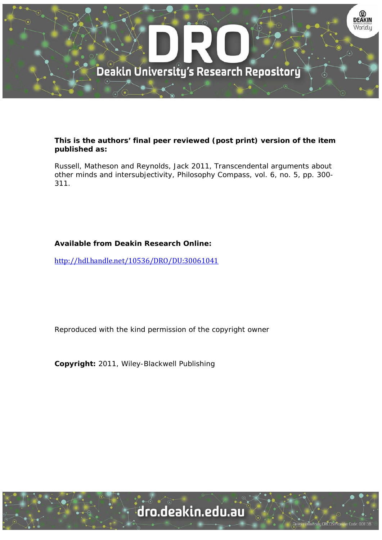

## **This is the authors' final peer reviewed (post print) version of the item published as:**

Russell, Matheson and Reynolds, Jack 2011, Transcendental arguments about other minds and intersubjectivity, Philosophy Compass, vol. 6, no. 5, pp. 300- 311.

# **Available from Deakin Research Online:**

http://hdl.handle.net/10536/DRO/DU:30061041

Reproduced with the kind permission of the copyright owner

**Copyright:** 2011, Wiley-Blackwell Publishing

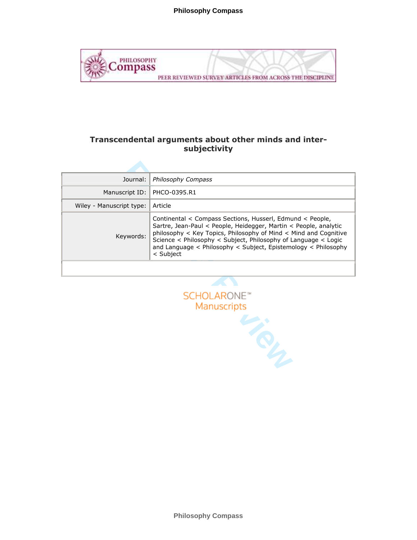

## Transcendental arguments about other minds and intersubjectivity

| Journal:                 | Philosophy Compass                                                                                                                                                                                                                                                                                                                                 |
|--------------------------|----------------------------------------------------------------------------------------------------------------------------------------------------------------------------------------------------------------------------------------------------------------------------------------------------------------------------------------------------|
| Manuscript ID:           | PHCO-0395.R1                                                                                                                                                                                                                                                                                                                                       |
| Wiley - Manuscript type: | Article                                                                                                                                                                                                                                                                                                                                            |
| Keywords:                | Continental < Compass Sections, Husserl, Edmund < People,<br>Sartre, Jean-Paul < People, Heidegger, Martin < People, analytic<br>philosophy < Key Topics, Philosophy of Mind < Mind and Cognitive<br>Science < Philosophy < Subject, Philosophy of Language < Logic<br>and Language < Philosophy < Subject, Epistemology < Philosophy<br>< Subject |
|                          |                                                                                                                                                                                                                                                                                                                                                    |
|                          |                                                                                                                                                                                                                                                                                                                                                    |
| SCHOLARONE <sup>*</sup>  |                                                                                                                                                                                                                                                                                                                                                    |
| Manuscripts              |                                                                                                                                                                                                                                                                                                                                                    |
|                          |                                                                                                                                                                                                                                                                                                                                                    |

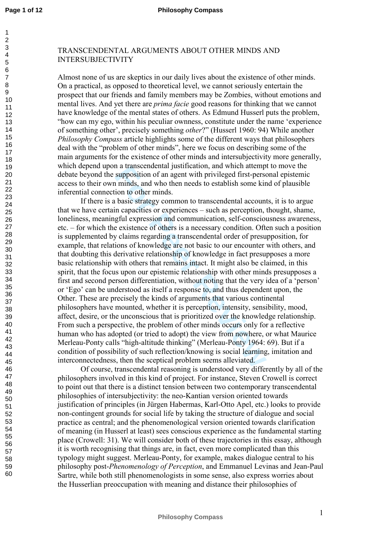$\overline{1}$  $\overline{2}$  $\overline{3}$  $\overline{4}$ 5 6  $\overline{7}$ 8 9

## TRANSCENDENTAL ARGUMENTS ABOUT OTHER MINDS AND INTERSUBJECTIVITY

Almost none of us are skeptics in our daily lives about the existence of other minds. On a practical, as opposed to theoretical level, we cannot seriously entertain the prospect that our friends and family members may be Zombies, without emotions and mental lives. And yet there are prima facie good reasons for thinking that we cannot have knowledge of the mental states of others. As Edmund Husserl puts the problem, "how can my ego, within his peculiar ownness, constitute under the name 'experience of something other', precisely something other?" (Husserl 1960: 94) While another Philosophy Compass article highlights some of the different ways that philosophers deal with the "problem of other minds", here we focus on describing some of the main arguments for the existence of other minds and intersubjectivity more generally, which depend upon a transcendental justification, and which attempt to move the debate beyond the supposition of an agent with privileged first-personal epistemic access to their own minds, and who then needs to establish some kind of plausible inferential connection to other minds.

a a transcendental justincation, and which attemp<br>supposition of an agent with privileged first-perso<br>minds, and who then needs to establish some kir<br>ion to other minds.<br>Loaise strategy common to transcendental accoun<br>n c If there is a basic strategy common to transcendental accounts, it is to argue that we have certain capacities or experiences – such as perception, thought, shame, loneliness, meaningful expression and communication, self-consciousness awareness, etc. – for which the existence of others is a necessary condition. Often such a position is supplemented by claims regarding a transcendental order of presupposition, for example, that relations of knowledge are not basic to our encounter with others, and that doubting this derivative relationship of knowledge in fact presupposes a more basic relationship with others that remains intact. It might also be claimed, in this spirit, that the focus upon our epistemic relationship with other minds presupposes a first and second person differentiation, without noting that the very idea of a 'person' or 'Ego' can be understood as itself a response to, and thus dependent upon, the Other. These are precisely the kinds of arguments that various continental philosophers have mounted, whether it is perception, intensity, sensibility, mood, affect, desire, or the unconscious that is prioritized over the knowledge relationship. From such a perspective, the problem of other minds occurs only for a reflective human who has adopted (or tried to adopt) the view from nowhere, or what Maurice Merleau-Ponty calls "high-altitude thinking" (Merleau-Ponty 1964: 69). But if a condition of possibility of such reflection/knowing is social learning, imitation and interconnectedness, then the sceptical problem seems alleviated.

Of course, transcendental reasoning is understood very differently by all of the philosophers involved in this kind of project. For instance, Steven Crowell is correct to point out that there is a distinct tension between two contemporary transcendental philosophies of intersubjectivity: the neo-Kantian version oriented towards justification of principles (in Jürgen Habermas, Karl-Otto Apel, etc.) looks to provide non-contingent grounds for social life by taking the structure of dialogue and social practice as central; and the phenomenological version oriented towards clarification of meaning (in Husserl at least) sees conscious experience as the fundamental starting place (Crowell: 31). We will consider both of these trajectories in this essay, although it is worth recognising that things are, in fact, even more complicated than this typology might suggest. Merleau-Ponty, for example, makes dialogue central to his philosophy post-Phenomenology of Perception, and Emmanuel Levinas and Jean-Paul Sartre, while both still phenomenologists in some sense, also express worries about the Husserlian preoccupation with meaning and distance their philosophies of

1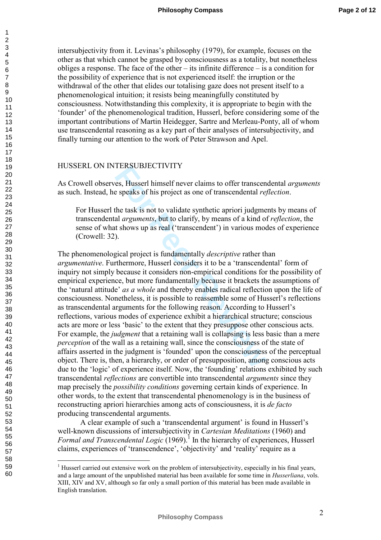intersubjectivity from it. Levinas's philosophy (1979), for example, focuses on the other as that which cannot be grasped by consciousness as a totality, but nonetheless obliges a response. The face of the other – its infinite difference – is a condition for the possibility of experience that is not experienced itself: the irruption or the withdrawal of the other that elides our totalising gaze does not present itself to a phenomenological intuition; it resists being meaningfully constituted by consciousness. Notwithstanding this complexity, it is appropriate to begin with the 'founder' of the phenomenological tradition, Husserl, before considering some of the important contributions of Martin Heidegger, Sartre and Merleau-Ponty, all of whom use transcendental reasoning as a key part of their analyses of intersubjectivity, and finally turning our attention to the work of Peter Strawson and Apel.

### HUSSERL ON INTERSUBJECTIVITY

As Crowell observes, Husserl himself never claims to offer transcendental *arguments* as such. Instead, he speaks of his project as one of transcendental reflection.

For Husserl the task is not to validate synthetic apriori judgments by means of transcendental arguments, but to clarify, by means of a kind of reflection, the sense of what shows up as real ('transcendent') in various modes of experience (Crowell: 32).

**FERIOBJECTIVITY**<br>
es, Husserl himself never claims to offer transcen<br>
es, Husserl himself never claims to offer transcen<br>
espeaks of his project as one of transcendental *re*,<br>
the task is not to validate synthetic aprior The phenomenological project is fundamentally *descriptive* rather than argumentative. Furthermore, Husserl considers it to be a 'transcendental' form of inquiry not simply because it considers non-empirical conditions for the possibility of empirical experience, but more fundamentally because it brackets the assumptions of the 'natural attitude' as a whole and thereby enables radical reflection upon the life of consciousness. Nonetheless, it is possible to reassemble some of Husserl's reflections as transcendental arguments for the following reason. According to Husserl's reflections, various modes of experience exhibit a hierarchical structure; conscious acts are more or less 'basic' to the extent that they presuppose other conscious acts. For example, the *judgment* that a retaining wall is collapsing is less basic than a mere perception of the wall as a retaining wall, since the consciousness of the state of affairs asserted in the judgment is 'founded' upon the consciousness of the perceptual object. There is, then, a hierarchy, or order of presupposition, among conscious acts due to the 'logic' of experience itself. Now, the 'founding' relations exhibited by such transcendental reflections are convertible into transcendental arguments since they map precisely the *possibility conditions* governing certain kinds of experience. In other words, to the extent that transcendental phenomenology is in the business of reconstructing apriori hierarchies among acts of consciousness, it is de facto producing transcendental arguments.

A clear example of such a 'transcendental argument' is found in Husserl's well-known discussions of intersubjectivity in Cartesian Meditations (1960) and Formal and Transcendental Logic  $(1969)$ .<sup>1</sup> In the hierarchy of experiences, Husserl claims, experiences of 'transcendence', 'objectivity' and 'reality' require as a

 $\frac{1}{1}$  Husserl carried out extensive work on the problem of intersubjectivity, especially in his final years, and a large amount of the unpublished material has been available for some time in *Husserliana*, vols. XIII, XIV and XV, although so far only a small portion of this material has been made available in English translation.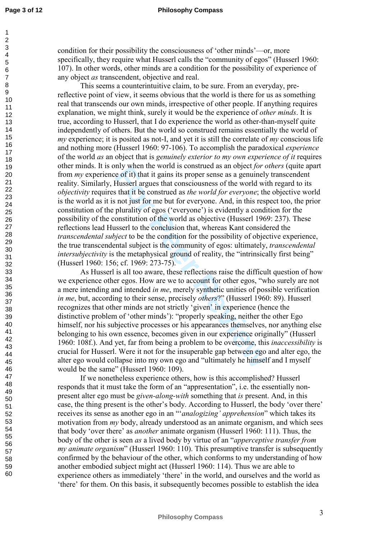$\overline{1}$  $\overline{2}$  $\overline{3}$  $\overline{4}$ 5 6  $\overline{7}$ 8 9

#### **Philosophy Compass**

condition for their possibility the consciousness of 'other minds'—or, more specifically, they require what Husserl calls the "community of egos" (Husserl 1960: 107). In other words, other minds are a condition for the possibility of experience of any object as transcendent, objective and real.

my when the world is construed as an object *for* e of it) that it gains its proper sense as a genuinely<br>Husserl argues that consciousness of the world wi<br>s that it be construed as *the world for everyone*; the not just fo This seems a counterintuitive claim, to be sure. From an everyday, prereflective point of view, it seems obvious that the world is there for us as something real that transcends our own minds, irrespective of other people. If anything requires explanation, we might think, surely it would be the experience of other minds. It is true, according to Husserl, that I do experience the world as other-than-myself quite independently of others. But the world so construed remains essentially the world of  $my$  experience; it is posited as not-I, and yet it is still the correlate of  $my$  conscious life and nothing more (Husserl 1960: 97-106). To accomplish the paradoxical experience of the world as an object that is genuinely exterior to my own experience of it requires other minds. It is only when the world is construed as an object *for others* (quite apart from my experience of it) that it gains its proper sense as a genuinely transcendent reality. Similarly, Husserl argues that consciousness of the world with regard to its objectivity requires that it be construed as the world for everyone; the objective world is the world as it is not just for me but for everyone. And, in this respect too, the prior constitution of the plurality of egos ('everyone') is evidently a condition for the possibility of the constitution of the world as objective (Husserl 1969: 237). These reflections lead Husserl to the conclusion that, whereas Kant considered the transcendental subject to be the condition for the possibility of objective experience, the true transcendental subject is the community of egos: ultimately, transcendental intersubjectivity is the metaphysical ground of reality, the "intrinsically first being" (Husserl 1960: 156; cf. 1969: 273-75).

As Husserl is all too aware, these reflections raise the difficult question of how we experience other egos. How are we to account for other egos, "who surely are not a mere intending and intended in me, merely synthetic unities of possible verification in me, but, according to their sense, precisely *others*?" (Husserl 1960: 89). Husserl recognizes that other minds are not strictly 'given' in experience (hence the distinctive problem of 'other minds'): "properly speaking, neither the other Ego himself, nor his subjective processes or his appearances themselves, nor anything else belonging to his own essence, becomes given in our experience originally" (Husserl 1960: 108f.). And yet, far from being a problem to be overcome, this inaccessibility is crucial for Husserl. Were it not for the insuperable gap between ego and alter ego, the alter ego would collapse into my own ego and "ultimately he himself and I myself would be the same" (Husserl 1960: 109).

If we nonetheless experience others, how is this accomplished? Husserl responds that it must take the form of an "appresentation", i.e. the essentially nonpresent alter ego must be given-along-with something that is present. And, in this case, the thing present is the other's body. According to Husserl, the body 'over there' receives its sense as another ego in an "'analogizing' apprehension" which takes its motivation from *my* body, already understood as an animate organism, and which sees that body 'over there' as another animate organism (Husserl 1960: 111). Thus, the body of the other is seen as a lived body by virtue of an "apperceptive transfer from my animate organism" (Husserl 1960: 110). This presumptive transfer is subsequently confirmed by the behaviour of the other, which conforms to my understanding of how another embodied subject might act (Husserl 1960: 114). Thus we are able to experience others as immediately 'there' in the world, and ourselves and the world as 'there' for them. On this basis, it subsequently becomes possible to establish the idea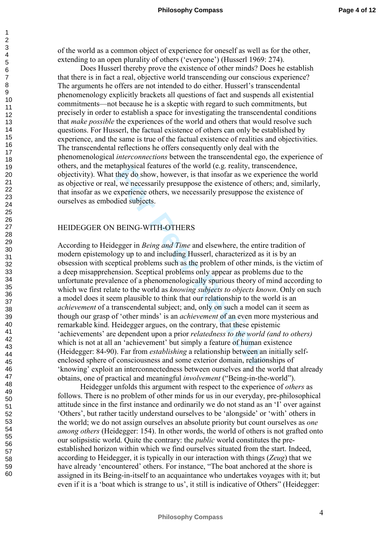of the world as a common object of experience for oneself as well as for the other, extending to an open plurality of others ('everyone') (Husserl 1969: 274).

Does Husserl thereby prove the existence of other minds? Does he establish that there is in fact a real, objective world transcending our conscious experience? The arguments he offers are not intended to do either. Husserl's transcendental phenomenology explicitly brackets all questions of fact and suspends all existential commitments—not because he is a skeptic with regard to such commitments, but precisely in order to establish a space for investigating the transcendental conditions that make possible the experiences of the world and others that would resolve such questions. For Husserl, the factual existence of others can only be established by experience, and the same is true of the factual existence of realities and objectivities. The transcendental reflections he offers consequently only deal with the phenomenological interconnections between the transcendental ego, the experience of others, and the metaphysical features of the world (e.g. reality, transcendence, objectivity). What they do show, however, is that insofar as we experience the world as objective or real, we necessarily presuppose the existence of others; and, similarly, that insofar as we experience others, we necessarily presuppose the existence of ourselves as embodied subjects.

## HEIDEGGER ON BEING-WITH-OTHERS

apprysical reatures of the world (e.g. reality, trans<br>they do show, however, is that insofar as we expectly<br>they do show, however, is that insofar as we expectly<br>the experience others, we necessarily presuppose the experie According to Heidegger in Being and Time and elsewhere, the entire tradition of modern epistemology up to and including Husserl, characterized as it is by an obsession with sceptical problems such as the problem of other minds, is the victim of a deep misapprehension. Sceptical problems only appear as problems due to the unfortunate prevalence of a phenomenologically spurious theory of mind according to which we first relate to the world as *knowing subjects to objects known*. Only on such a model does it seem plausible to think that our relationship to the world is an achievement of a transcendental subject; and, only on such a model can it seem as though our grasp of 'other minds' is an achievement of an even more mysterious and remarkable kind. Heidegger argues, on the contrary, that these epistemic 'achievements' are dependent upon a prior relatedness to the world (and to others) which is not at all an 'achievement' but simply a feature of human existence (Heidegger: 84-90). Far from establishing a relationship between an initially selfenclosed sphere of consciousness and some exterior domain, relationships of 'knowing' exploit an interconnectedness between ourselves and the world that already obtains, one of practical and meaningful involvement ("Being-in-the-world").

Heidegger unfolds this argument with respect to the experience of others as follows. There is no problem of other minds for us in our everyday, pre-philosophical attitude since in the first instance and ordinarily we do not stand as an 'I' over against 'Others', but rather tacitly understand ourselves to be 'alongside' or 'with' others in the world; we do not assign ourselves an absolute priority but count ourselves as one among others (Heidegger: 154). In other words, the world of others is not grafted onto our solipsistic world. Ouite the contrary: the *public* world constitutes the preestablished horizon within which we find ourselves situated from the start. Indeed, according to Heidegger, it is typically in our interaction with things (Zeug) that we have already 'encountered' others. For instance, "The boat anchored at the shore is assigned in its Being-in-itself to an acquaintance who undertakes voyages with it; but even if it is a 'boat which is strange to us', it still is indicative of Others" (Heidegger: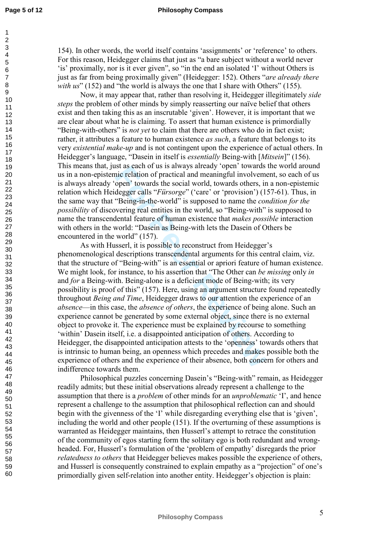$\overline{1}$  $\overline{2}$  $\overline{3}$  $\overline{4}$ 5 6  $\overline{7}$ 8 9

#### **Philosophy Compass**

154). In other words, the world itself contains 'assignments' or 'reference' to others. For this reason, Heidegger claims that just as "a bare subject without a world never 'is' proximally, nor is it ever given", so "in the end an isolated 'I' without Others is just as far from being proximally given" (Heidegger: 152). Others "are already there with us" (152) and "the world is always the one that I share with Others" (155).

Now, it may appear that, rather than resolving it, Heidegger illegitimately side steps the problem of other minds by simply reasserting our naïve belief that others exist and then taking this as an inscrutable 'given'. However, it is important that we are clear about what he is claiming. To assert that human existence is primordially "Being-with-others" is *not yet* to claim that there are others who do in fact exist; rather, it attributes a feature to human existence *as such*, a feature that belongs to its very existential make-up and is not contingent upon the experience of actual others. In Heidegger's language, "Dasein in itself is essentially Being-with [Mitsein]" (156). This means that, just as each of us is always already 'open' towards the world around us in a non-epistemic relation of practical and meaningful involvement, so each of us is always already 'open' towards the social world, towards others, in a non-epistemic relation which Heidegger calls "Fürsorge" ('care' or 'provision') (157-61). Thus, in the same way that "Being-in-the-world" is supposed to name the condition for the possibility of discovering real entities in the world, so "Being-with" is supposed to name the transcendental feature of human existence that makes possible interaction with others in the world: "Dasein as Being-with lets the Dasein of Others be encountered in the world" (157).

Ist as each of us is aways afready open towards<br>inc relation of practical and meaningful involvem-<br>open' towards the social world, towards others, ir<br>degger calls "*Fürsorge*" ("care" or "provision") (1<br>"Being-in-the-world As with Husserl, it is possible to reconstruct from Heidegger's phenomenological descriptions transcendental arguments for this central claim, viz. that the structure of "Being-with" is an essential or apriori feature of human existence. We might look, for instance, to his assertion that "The Other can be missing only in and for a Being-with. Being-alone is a deficient mode of Being-with; its very possibility is proof of this" (157). Here, using an argument structure found repeatedly throughout Being and Time, Heidegger draws to our attention the experience of an absence—in this case, the absence of others, the experience of being alone. Such an experience cannot be generated by some external object, since there is no external object to provoke it. The experience must be explained by recourse to something 'within' Dasein itself, i.e. a disappointed anticipation of others. According to Heidegger, the disappointed anticipation attests to the 'openness' towards others that is intrinsic to human being, an openness which precedes and makes possible both the experience of others and the experience of their absence, both concern for others and indifference towards them.

Philosophical puzzles concerning Dasein's "Being-with" remain, as Heidegger readily admits; but these initial observations already represent a challenge to the assumption that there is a problem of other minds for an unproblematic 'I', and hence represent a challenge to the assumption that philosophical reflection can and should begin with the givenness of the 'I' while disregarding everything else that is 'given', including the world and other people (151). If the overturning of these assumptions is warranted as Heidegger maintains, then Husserl's attempt to retrace the constitution of the community of egos starting form the solitary ego is both redundant and wrongheaded. For, Husserl's formulation of the 'problem of empathy' disregards the prior relatedness to others that Heidegger believes makes possible the experience of others, and Husserl is consequently constrained to explain empathy as a "projection" of one's primordially given self-relation into another entity. Heidegger's objection is plain: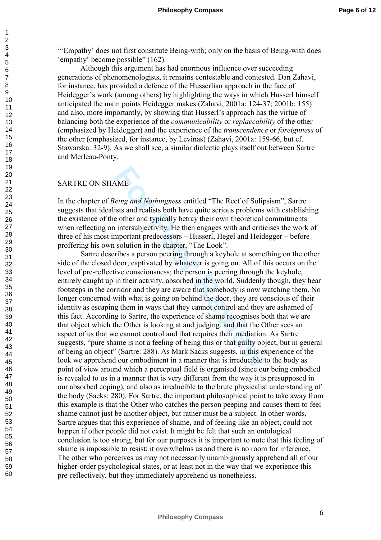"'Empathy' does not first constitute Being-with; only on the basis of Being-with does 'empathy' become possible" (162).

Although this argument has had enormous influence over succeeding generations of phenomenologists, it remains contestable and contested. Dan Zahavi, for instance, has provided a defence of the Husserlian approach in the face of Heidegger's work (among others) by highlighting the ways in which Husserl himself anticipated the main points Heidegger makes (Zahavi, 2001a: 124-37; 2001b: 155) and also, more importantly, by showing that Husserl's approach has the virtue of balancing both the experience of the communicability or replaceability of the other (emphasized by Heidegger) and the experience of the transcendence or foreignness of the other (emphasized, for instance, by Levinas) (Zahavi, 2001a: 159-66, but cf. Stawarska: 32-9). As we shall see, a similar dialectic plays itself out between Sartre and Merleau-Ponty.

### SARTRE ON SHAME

123456789

 $\overline{1}$  $\overline{2}$  $\overline{3}$  $\overline{4}$ 5 6  $\overline{7}$ 8 9

In the chapter of Being and Nothingness entitled "The Reef of Solipsism", Sartre suggests that idealists and realists both have quite serious problems with establishing the existence of the other and typically betray their own theoretical commitments when reflecting on intersubjectivity. He then engages with and criticises the work of three of his most important predecessors – Husserl, Hegel and Heidegger – before proffering his own solution in the chapter, "The Look".

**EXECUTE:**<br> **FORMOTE ASSET ASSET ASSET ASSET ASSET ASSET AND A SURVENT AND A SURVEY AND HIGHT ASSET AND HIGHT ASSET AND HIGHT AND HIGHT AND HIGHT AND HIGHT AND HIGHT AND HIGHT AND HIGHT AND HIGHT AND HIGHT AND HIGHT AND HI** Sartre describes a person peering through a keyhole at something on the other side of the closed door, captivated by whatever is going on. All of this occurs on the level of pre-reflective consciousness; the person is peering through the keyhole, entirely caught up in their activity, absorbed in the world. Suddenly though, they hear footsteps in the corridor and they are aware that somebody is now watching them. No longer concerned with what is going on behind the door, they are conscious of their identity as escaping them in ways that they cannot control and they are ashamed of this fact. According to Sartre, the experience of shame recognises both that we are that object which the Other is looking at and judging, and that the Other sees an aspect of us that we cannot control and that requires their mediation. As Sartre suggests, "pure shame is not a feeling of being this or that guilty object, but in general of being an object" (Sartre: 288). As Mark Sacks suggests, in this experience of the look we apprehend our embodiment in a manner that is irreducible to the body as point of view around which a perceptual field is organised (since our being embodied is revealed to us in a manner that is very different from the way it is presupposed in our absorbed coping), and also as irreducible to the brute physicalist understanding of the body (Sacks: 280). For Sartre, the important philosophical point to take away from this example is that the Other who catches the person peeping and causes them to feel shame cannot just be another object, but rather must be a subject. In other words, Sartre argues that this experience of shame, and of feeling like an object, could not happen if other people did not exist. It might be felt that such an ontological conclusion is too strong, but for our purposes it is important to note that this feeling of shame is impossible to resist; it overwhelms us and there is no room for inference. The other who perceives us may not necessarily unambiguously apprehend all of our higher-order psychological states, or at least not in the way that we experience this pre-reflectively, but they immediately apprehend us nonetheless.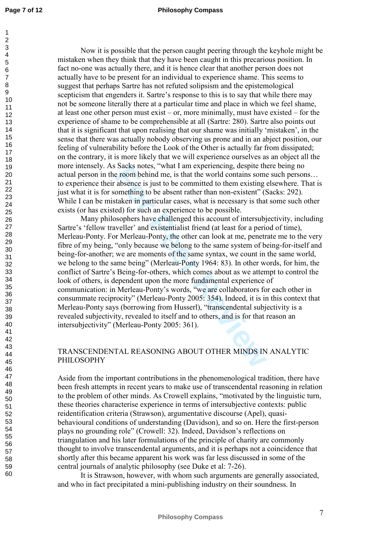#### **Philosophy Compass**

Now it is possible that the person caught peering through the keyhole might be mistaken when they think that they have been caught in this precarious position. In fact no-one was actually there, and it is hence clear that another person does not actually have to be present for an individual to experience shame. This seems to suggest that perhaps Sartre has not refuted solipsism and the epistemological scepticism that engenders it. Sartre's response to this is to say that while there may not be someone literally there at a particular time and place in which we feel shame, at least one other person must exist – or, more minimally, must have existed – for the experience of shame to be comprehensible at all (Sartre: 280). Sartre also points out that it is significant that upon realising that our shame was initially 'mistaken', in the sense that there was actually nobody observing us prone and in an abject position, our feeling of vulnerability before the Look of the Other is actually far from dissipated; on the contrary, it is more likely that we will experience ourselves as an object all the more intensely. As Sacks notes, "what I am experiencing, despite there being no actual person in the room behind me, is that the world contains some such persons… to experience their absence is just to be committed to them existing elsewhere. That is just what it is for something to be absent rather than non-existent" (Sacks: 292). While I can be mistaken in particular cases, what is necessary is that some such other exists (or has existed) for such an experience to be possible.

Sacks notes, what I am experiencing, despite in<br>
e room behind me, is that the world contains some<br>
absence is just to be committed to them existing<br>
omething to be absent rather than non-existent" ((<br>
staken in particular Many philosophers have challenged this account of intersubjectivity, including Sartre's 'fellow traveller' and existentialist friend (at least for a period of time), Merleau-Ponty. For Merleau-Ponty, the other can look at me, penetrate me to the very fibre of my being, "only because we belong to the same system of being-for-itself and being-for-another; we are moments of the same syntax, we count in the same world, we belong to the same being" (Merleau-Ponty 1964: 83). In other words, for him, the conflict of Sartre's Being-for-others, which comes about as we attempt to control the look of others, is dependent upon the more fundamental experience of communication: in Merleau-Ponty's words, "we are collaborators for each other in consummate reciprocity" (Merleau-Ponty 2005: 354). Indeed, it is in this context that Merleau-Ponty says (borrowing from Husserl), "transcendental subjectivity is a revealed subjectivity, revealed to itself and to others, and is for that reason an intersubjectivity" (Merleau-Ponty 2005: 361).

## TRANSCENDENTAL REASONING ABOUT OTHER MINDS IN ANALYTIC PHILOSOPHY

Aside from the important contributions in the phenomenological tradition, there have been fresh attempts in recent years to make use of transcendental reasoning in relation to the problem of other minds. As Crowell explains, "motivated by the linguistic turn, these theories characterise experience in terms of intersubjective contexts: public reidentification criteria (Strawson), argumentative discourse (Apel), quasibehavioural conditions of understanding (Davidson), and so on. Here the first-person plays no grounding role" (Crowell: 32). Indeed, Davidson's reflections on triangulation and his later formulations of the principle of charity are commonly thought to involve transcendental arguments, and it is perhaps not a coincidence that shortly after this became apparent his work was far less discussed in some of the central journals of analytic philosophy (see Duke et al: 7-26).

It is Strawson, however, with whom such arguments are generally associated, and who in fact precipitated a mini-publishing industry on their soundness. In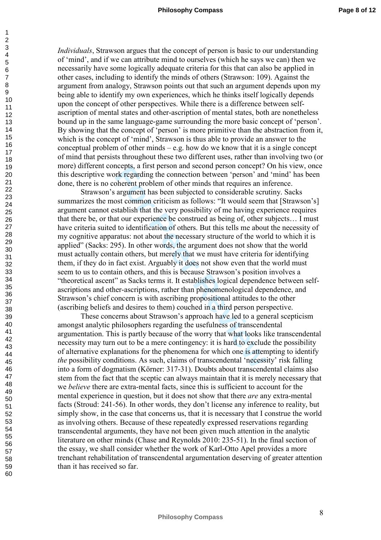Individuals, Strawson argues that the concept of person is basic to our understanding of 'mind', and if we can attribute mind to ourselves (which he says we can) then we necessarily have some logically adequate criteria for this that can also be applied in other cases, including to identify the minds of others (Strawson: 109). Against the argument from analogy, Strawson points out that such an argument depends upon my being able to identify my own experiences, which he thinks itself logically depends upon the concept of other perspectives. While there is a difference between selfascription of mental states and other-ascription of mental states, both are nonetheless bound up in the same language-game surrounding the more basic concept of 'person'. By showing that the concept of 'person' is more primitive than the abstraction from it, which is the concept of 'mind', Strawson is thus able to provide an answer to the conceptual problem of other minds  $-e.g.$  how do we know that it is a single concept of mind that persists throughout these two different uses, rather than involving two (or more) different concepts, a first person and second person concept? On his view, once this descriptive work regarding the connection between 'person' and 'mind' has been done, there is no coherent problem of other minds that requires an inference.

reepts, a first person and second person concept?<br>
The regarding the connection between 'person' and<br>
obternt problem of other minds that requires an in<br>
argument has been subjected to considerable scru<br>
statollish that th Strawson's argument has been subjected to considerable scrutiny. Sacks summarizes the most common criticism as follows: "It would seem that [Strawson's] argument cannot establish that the very possibility of me having experience requires that there be, or that our experience be construed as being of, other subjects… I must have criteria suited to identification of others. But this tells me about the necessity of my cognitive apparatus: not about the necessary structure of the world to which it is applied" (Sacks: 295). In other words, the argument does not show that the world must actually contain others, but merely that we must have criteria for identifying them, if they do in fact exist. Arguably it does not show even that the world must seem to us to contain others, and this is because Strawson's position involves a "theoretical ascent" as Sacks terms it. It establishes logical dependence between selfascriptions and other-ascriptions, rather than phenomenological dependence, and Strawson's chief concern is with ascribing propositional attitudes to the other (ascribing beliefs and desires to them) couched in a third person perspective.

These concerns about Strawson's approach have led to a general scepticism amongst analytic philosophers regarding the usefulness of transcendental argumentation. This is partly because of the worry that what looks like transcendental necessity may turn out to be a mere contingency: it is hard to exclude the possibility of alternative explanations for the phenomena for which one is attempting to identify the possibility conditions. As such, claims of transcendental 'necessity' risk falling into a form of dogmatism (Körner: 317-31). Doubts about transcendental claims also stem from the fact that the sceptic can always maintain that it is merely necessary that we *believe* there are extra-mental facts, since this is sufficient to account for the mental experience in question, but it does not show that there are any extra-mental facts (Stroud: 241-56). In other words, they don't license any inference to reality, but simply show, in the case that concerns us, that it is necessary that I construe the world as involving others. Because of these repeatedly expressed reservations regarding transcendental arguments, they have not been given much attention in the analytic literature on other minds (Chase and Reynolds 2010: 235-51). In the final section of the essay, we shall consider whether the work of Karl-Otto Apel provides a more trenchant rehabilitation of transcendental argumentation deserving of greater attention than it has received so far.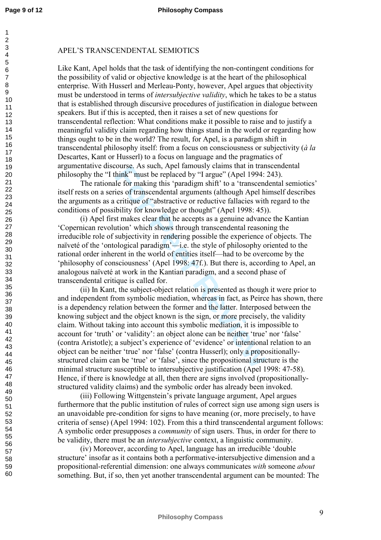$\overline{1}$  $\overline{2}$  $\overline{3}$  $\overline{4}$ 5 6  $\overline{7}$ 8 9

### APEL'S TRANSCENDENTAL SEMIOTICS

Like Kant, Apel holds that the task of identifying the non-contingent conditions for the possibility of valid or objective knowledge is at the heart of the philosophical enterprise. With Husserl and Merleau-Ponty, however, Apel argues that objectivity must be understood in terms of intersubjective validity, which he takes to be a status that is established through discursive procedures of justification in dialogue between speakers. But if this is accepted, then it raises a set of new questions for transcendental reflection: What conditions make it possible to raise and to justify a meaningful validity claim regarding how things stand in the world or regarding how things ought to be in the world? The result, for Apel, is a paradigm shift in transcendental philosophy itself: from a focus on consciousness or subjectivity (à la Descartes, Kant or Husserl) to a focus on language and the pragmatics of argumentative discourse. As such, Apel famously claims that in transcendental philosophy the "I think" must be replaced by "I argue" (Apel 1994: 243).

The rationale for making this 'paradigm shift' to a 'transcendental semiotics' itself rests on a series of transcendental arguments (although Apel himself describes the arguments as a critique of "abstractive or reductive fallacies with regard to the conditions of possibility for knowledge or thought" (Apel 1998: 45)).

(i) Apel first makes clear that he accepts as a genuine advance the Kantian 'Copernican revolution' which shows through transcendental reasoning the irreducible role of subjectivity in rendering possible the experience of objects. The naïveté of the 'ontological paradigm'—i.e. the style of philosophy oriented to the rational order inherent in the world of entities itself—had to be overcome by the 'philosophy of consciousness' (Apel 1998: 47f.). But there is, according to Apel, an analogous naïveté at work in the Kantian paradigm, and a second phase of transcendental critique is called for.

Fourthast Source As such, Aper amously claims that in train<br>hink" must be replaced by "I argue" (Apel 1994:<br>le for making this 'paradigm shift' to a 'transcence<br>ies of transcendental arguments (although Apel hi<br>critique of (ii) In Kant, the subject-object relation is presented as though it were prior to and independent from symbolic mediation, whereas in fact, as Peirce has shown, there is a dependency relation between the former and the latter. Interposed between the knowing subject and the object known is the sign, or more precisely, the validity claim. Without taking into account this symbolic mediation, it is impossible to account for 'truth' or 'validity': an object alone can be neither 'true' nor 'false' (contra Aristotle); a subject's experience of 'evidence' or intentional relation to an object can be neither 'true' nor 'false' (contra Husserl); only a propositionallystructured claim can be 'true' or 'false', since the propositional structure is the minimal structure susceptible to intersubjective justification (Apel 1998: 47-58). Hence, if there is knowledge at all, then there are signs involved (propositionallystructured validity claims) and the symbolic order has already been invoked.

(iii) Following Wittgenstein's private language argument, Apel argues furthermore that the public institution of rules of correct sign use among sign users is an unavoidable pre-condition for signs to have meaning (or, more precisely, to have criteria of sense) (Apel 1994: 102). From this a third transcendental argument follows: A symbolic order presupposes a community of sign users. Thus, in order for there to be validity, there must be an intersubjective context, a linguistic community.

(iv) Moreover, according to Apel, language has an irreducible 'double structure' insofar as it contains both a performative-intersubjective dimension and a propositional-referential dimension: one always communicates with someone about something. But, if so, then yet another transcendental argument can be mounted: The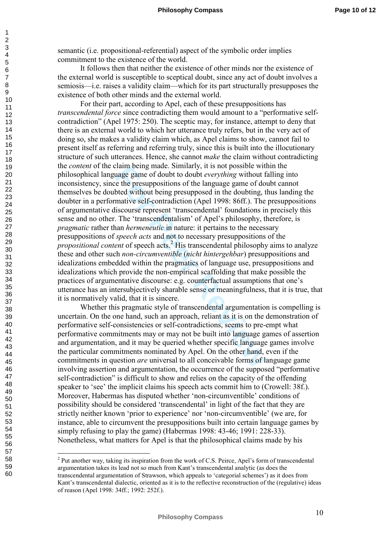semantic (i.e. propositional-referential) aspect of the symbolic order implies commitment to the existence of the world.

It follows then that neither the existence of other minds nor the existence of the external world is susceptible to sceptical doubt, since any act of doubt involves a semiosis—i.e. raises a validity claim—which for its part structurally presupposes the existence of both other minds and the external world.

Frame being made. Similarly, it is not possible with<br>uage game of doubt to doubt *everything* without f<br>e the presuppositions of the language game of do<br>bted without being presupposed in the doubting, t<br>matrice self-contra For their part, according to Apel, each of these presuppositions has transcendental force since contradicting them would amount to a "performative selfcontradiction" (Apel 1975: 250). The sceptic may, for instance, attempt to deny that there is an external world to which her utterance truly refers, but in the very act of doing so, she makes a validity claim which, as Apel claims to show, cannot fail to present itself as referring and referring truly, since this is built into the illocutionary structure of such utterances. Hence, she cannot make the claim without contradicting the content of the claim being made. Similarly, it is not possible within the philosophical language game of doubt to doubt everything without falling into inconsistency, since the presuppositions of the language game of doubt cannot themselves be doubted without being presupposed in the doubting, thus landing the doubter in a performative self-contradiction (Apel 1998: 86ff.). The presuppositions of argumentative discourse represent 'transcendental' foundations in precisely this sense and no other. The 'transcendentalism' of Apel's philosophy, therefore, is pragmatic rather than hermeneutic in nature: it pertains to the necessary presuppositions of speech acts and not to necessary presuppositions of the *propositional content* of speech acts.<sup>2</sup> His transcendental philosophy aims to analyze these and other such *non-circumventible* (nicht hintergehbar) presuppositions and idealizations embedded within the pragmatics of language use, presuppositions and idealizations which provide the non-empirical scaffolding that make possible the practices of argumentative discourse: e.g. counterfactual assumptions that one's utterance has an intersubjectively sharable sense or meaningfulness, that it is true, that it is normatively valid, that it is sincere.

Whether this pragmatic style of transcendental argumentation is compelling is uncertain. On the one hand, such an approach, reliant as it is on the demonstration of performative self-consistencies or self-contradictions, seems to pre-empt what performative commitments may or may not be built into language games of assertion and argumentation, and it may be queried whether specific language games involve the particular commitments nominated by Apel. On the other hand, even if the commitments in question are universal to all conceivable forms of language game involving assertion and argumentation, the occurrence of the supposed "performative self-contradiction" is difficult to show and relies on the capacity of the offending speaker to 'see' the implicit claims his speech acts commit him to (Crowell: 38f.). Moreover, Habermas has disputed whether 'non-circumventible' conditions of possibility should be considered 'transcendental' in light of the fact that they are strictly neither known 'prior to experience' nor 'non-circumventible' (we are, for instance, able to circumvent the presuppositions built into certain language games by simply refusing to play the game) (Habermas 1998: 43-46; 1991: 228-33). Nonetheless, what matters for Apel is that the philosophical claims made by his

 $\mathbf{1}$ 

 $\frac{1}{2}$ <sup>2</sup> Put another way, taking its inspiration from the work of C.S. Peirce, Apel's form of transcendental argumentation takes its lead not so much from Kant's transcendental analytic (as does the transcendental argumentation of Strawson, which appeals to 'categorial schemes') as it does from Kant's transcendental dialectic, oriented as it is to the reflective reconstruction of the (regulative) ideas of reason (Apel 1998: 34ff.; 1992: 252f.).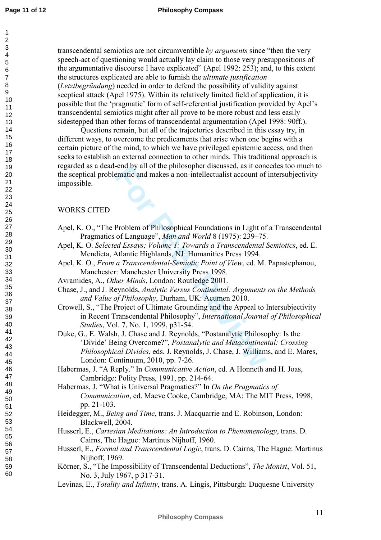$\overline{1}$  $\overline{2}$  $\overline{3}$  $\overline{4}$ 5 6  $\overline{7}$ 8 9

### **Philosophy Compass**

transcendental semiotics are not circumventible by arguments since "then the very speech-act of questioning would actually lay claim to those very presuppositions of the argumentative discourse I have explicated" (Apel 1992: 253); and, to this extent the structures explicated are able to furnish the ultimate justification (Letztbegründung) needed in order to defend the possibility of validity against sceptical attack (Apel 1975). Within its relatively limited field of application, it is possible that the 'pragmatic' form of self-referential justification provided by Apel's transcendental semiotics might after all prove to be more robust and less easily sidestepped than other forms of transcendental argumentation (Apel 1998: 90ff.).

Questions remain, but all of the trajectories described in this essay try, in different ways, to overcome the predicaments that arise when one begins with a certain picture of the mind, to which we have privileged epistemic access, and then seeks to establish an external connection to other minds. This traditional approach is regarded as a dead-end by all of the philosopher discussed, as it concedes too much to the sceptical problematic and makes a non-intellectualist account of intersubjectivity impossible.

### WORKS CITED

- Apel, K. O., "The Problem of Philosophical Foundations in Light of a Transcendental Pragmatics of Language", Man and World 8 (1975): 239–75.
- Apel, K. O. Selected Essays; Volume 1: Towards a Transcendental Semiotics, ed. E. Mendieta, Atlantic Highlands, NJ: Humanities Press 1994.
- Apel, K. O., From a Transcendental-Semiotic Point of View, ed. M. Papastephanou, Manchester: Manchester University Press 1998.
- Avramides, A., Other Minds, London: Routledge 2001.
- Chase, J., and J. Reynolds, Analytic Versus Continental: Arguments on the Methods and Value of Philosophy, Durham, UK: Acumen 2010.
- Crowell, S., "The Project of Ultimate Grounding and the Appeal to Intersubjectivity in Recent Transcendental Philosophy", International Journal of Philosophical Studies, Vol. 7, No. 1, 1999, p31-54.
- For Pend by all of the philosopher discussed, as it com-<br>
For Perd by all of the philosophical Foundations in Light of<br>
For Perdical and makes a non-intellectualist account of<br>
For Perdical and Morld 8 (1975): 239–75<br> *Ess* Duke, G., E. Walsh, J. Chase and J. Reynolds, "Postanalytic Philosophy: Is the 'Divide' Being Overcome?", Postanalytic and Metacontinental: Crossing Philosophical Divides, eds. J. Reynolds, J. Chase, J. Williams, and E. Mares, London: Continuum, 2010, pp. 7-26.
- Habermas, J. "A Reply." In Communicative Action, ed. A Honneth and H. Joas, Cambridge: Polity Press, 1991, pp. 214-64.
- Habermas, J. "What is Universal Pragmatics?" In On the Pragmatics of Communication, ed. Maeve Cooke, Cambridge, MA: The MIT Press, 1998, pp. 21-103.
- Heidegger, M., Being and Time, trans. J. Macquarrie and E. Robinson, London: Blackwell, 2004.
- Husserl, E., Cartesian Meditations: An Introduction to Phenomenology, trans. D. Cairns, The Hague: Martinus Nijhoff, 1960.
- Husserl, E., Formal and Transcendental Logic, trans. D. Cairns, The Hague: Martinus Nijhoff, 1969.
- Körner, S., "The Impossibility of Transcendental Deductions", The Monist, Vol. 51, No. 3, July 1967, p 317-31.
- Levinas, E., Totality and Infinity, trans. A. Lingis, Pittsburgh: Duquesne University